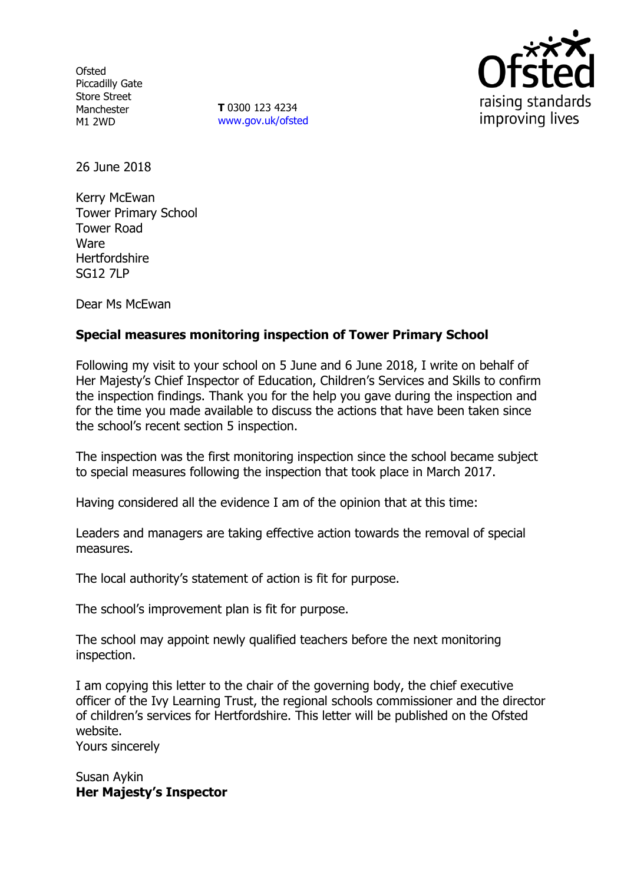**Ofsted** Piccadilly Gate Store Street Manchester M1 2WD

**T** 0300 123 4234 www.gov.uk/ofsted



26 June 2018

Kerry McEwan Tower Primary School Tower Road Ware Hertfordshire SG12 7LP

Dear Ms McEwan

# **Special measures monitoring inspection of Tower Primary School**

Following my visit to your school on 5 June and 6 June 2018, I write on behalf of Her Majesty's Chief Inspector of Education, Children's Services and Skills to confirm the inspection findings. Thank you for the help you gave during the inspection and for the time you made available to discuss the actions that have been taken since the school's recent section 5 inspection.

The inspection was the first monitoring inspection since the school became subject to special measures following the inspection that took place in March 2017.

Having considered all the evidence I am of the opinion that at this time:

Leaders and managers are taking effective action towards the removal of special measures.

The local authority's statement of action is fit for purpose.

The school's improvement plan is fit for purpose.

The school may appoint newly qualified teachers before the next monitoring inspection.

I am copying this letter to the chair of the governing body, the chief executive officer of the Ivy Learning Trust, the regional schools commissioner and the director of children's services for Hertfordshire. This letter will be published on the Ofsted website. Yours sincerely

Susan Aykin **Her Majesty's Inspector**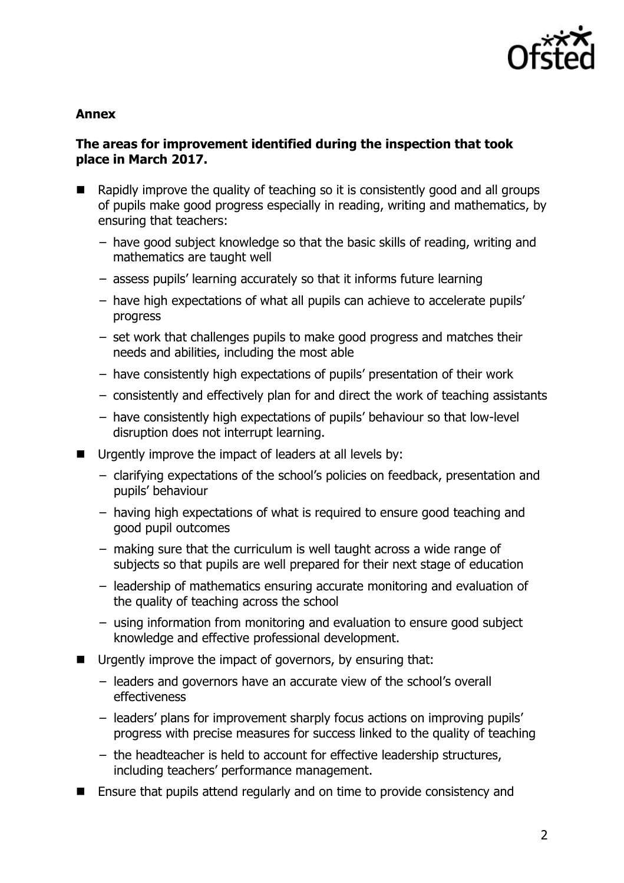

#### **Annex**

## **The areas for improvement identified during the inspection that took place in March 2017.**

- $\blacksquare$  Rapidly improve the quality of teaching so it is consistently good and all groups of pupils make good progress especially in reading, writing and mathematics, by ensuring that teachers:
	- − have good subject knowledge so that the basic skills of reading, writing and mathematics are taught well
	- − assess pupils' learning accurately so that it informs future learning
	- − have high expectations of what all pupils can achieve to accelerate pupils' progress
	- − set work that challenges pupils to make good progress and matches their needs and abilities, including the most able
	- − have consistently high expectations of pupils' presentation of their work
	- − consistently and effectively plan for and direct the work of teaching assistants
	- − have consistently high expectations of pupils' behaviour so that low-level disruption does not interrupt learning.
- Urgently improve the impact of leaders at all levels by:
	- − clarifying expectations of the school's policies on feedback, presentation and pupils' behaviour
	- − having high expectations of what is required to ensure good teaching and good pupil outcomes
	- − making sure that the curriculum is well taught across a wide range of subjects so that pupils are well prepared for their next stage of education
	- − leadership of mathematics ensuring accurate monitoring and evaluation of the quality of teaching across the school
	- − using information from monitoring and evaluation to ensure good subject knowledge and effective professional development.
- Urgently improve the impact of governors, by ensuring that:
	- − leaders and governors have an accurate view of the school's overall effectiveness
	- − leaders' plans for improvement sharply focus actions on improving pupils' progress with precise measures for success linked to the quality of teaching
	- − the headteacher is held to account for effective leadership structures, including teachers' performance management.
- Ensure that pupils attend regularly and on time to provide consistency and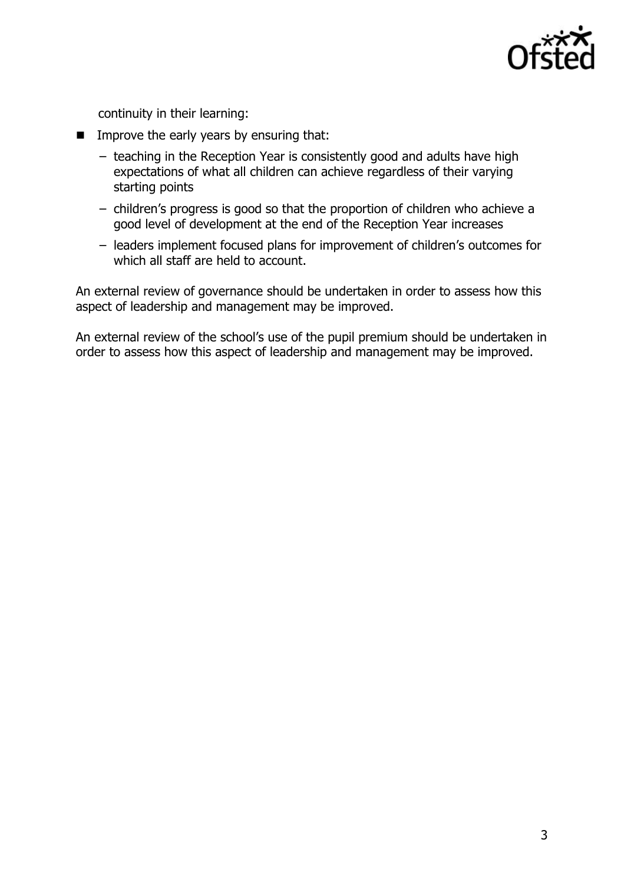

continuity in their learning:

- $\blacksquare$  Improve the early years by ensuring that:
	- − teaching in the Reception Year is consistently good and adults have high expectations of what all children can achieve regardless of their varying starting points
	- − children's progress is good so that the proportion of children who achieve a good level of development at the end of the Reception Year increases
	- − leaders implement focused plans for improvement of children's outcomes for which all staff are held to account.

An external review of governance should be undertaken in order to assess how this aspect of leadership and management may be improved.

An external review of the school's use of the pupil premium should be undertaken in order to assess how this aspect of leadership and management may be improved.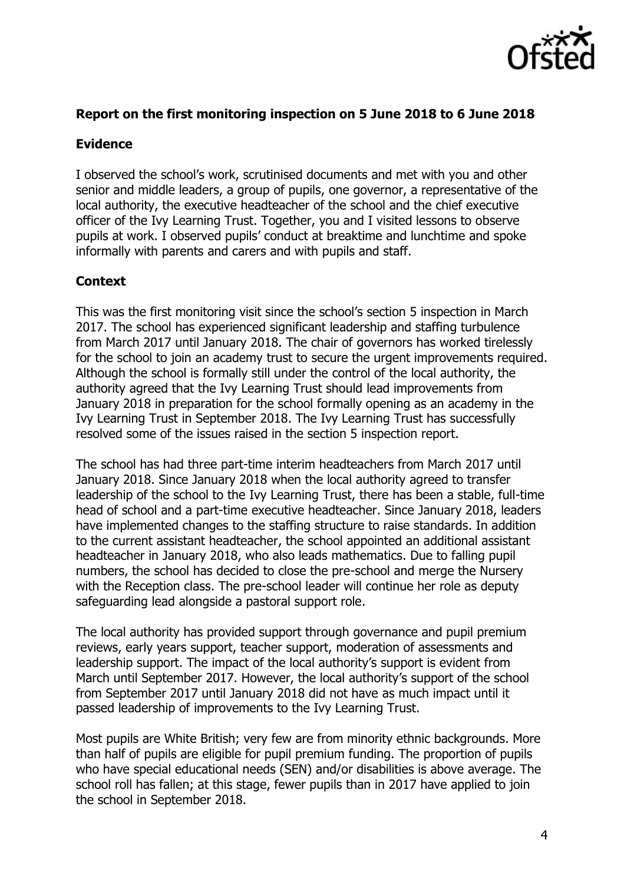

## **Report on the first monitoring inspection on 5 June 2018 to 6 June 2018**

#### **Evidence**

I observed the school's work, scrutinised documents and met with you and other senior and middle leaders, a group of pupils, one governor, a representative of the local authority, the executive headteacher of the school and the chief executive officer of the Ivy Learning Trust. Together, you and I visited lessons to observe pupils at work. I observed pupils' conduct at breaktime and lunchtime and spoke informally with parents and carers and with pupils and staff.

#### **Context**

This was the first monitoring visit since the school's section 5 inspection in March 2017. The school has experienced significant leadership and staffing turbulence from March 2017 until January 2018. The chair of governors has worked tirelessly for the school to join an academy trust to secure the urgent improvements required. Although the school is formally still under the control of the local authority, the authority agreed that the Ivy Learning Trust should lead improvements from January 2018 in preparation for the school formally opening as an academy in the Ivy Learning Trust in September 2018. The Ivy Learning Trust has successfully resolved some of the issues raised in the section 5 inspection report.

The school has had three part-time interim headteachers from March 2017 until January 2018. Since January 2018 when the local authority agreed to transfer leadership of the school to the Ivy Learning Trust, there has been a stable, full-time head of school and a part-time executive headteacher. Since January 2018, leaders have implemented changes to the staffing structure to raise standards. In addition to the current assistant headteacher, the school appointed an additional assistant headteacher in January 2018, who also leads mathematics. Due to falling pupil numbers, the school has decided to close the pre-school and merge the Nursery with the Reception class. The pre-school leader will continue her role as deputy safeguarding lead alongside a pastoral support role.

The local authority has provided support through governance and pupil premium reviews, early years support, teacher support, moderation of assessments and leadership support. The impact of the local authority's support is evident from March until September 2017. However, the local authority's support of the school from September 2017 until January 2018 did not have as much impact until it passed leadership of improvements to the Ivy Learning Trust.

Most pupils are White British; very few are from minority ethnic backgrounds. More than half of pupils are eligible for pupil premium funding. The proportion of pupils who have special educational needs (SEN) and/or disabilities is above average. The school roll has fallen; at this stage, fewer pupils than in 2017 have applied to join the school in September 2018.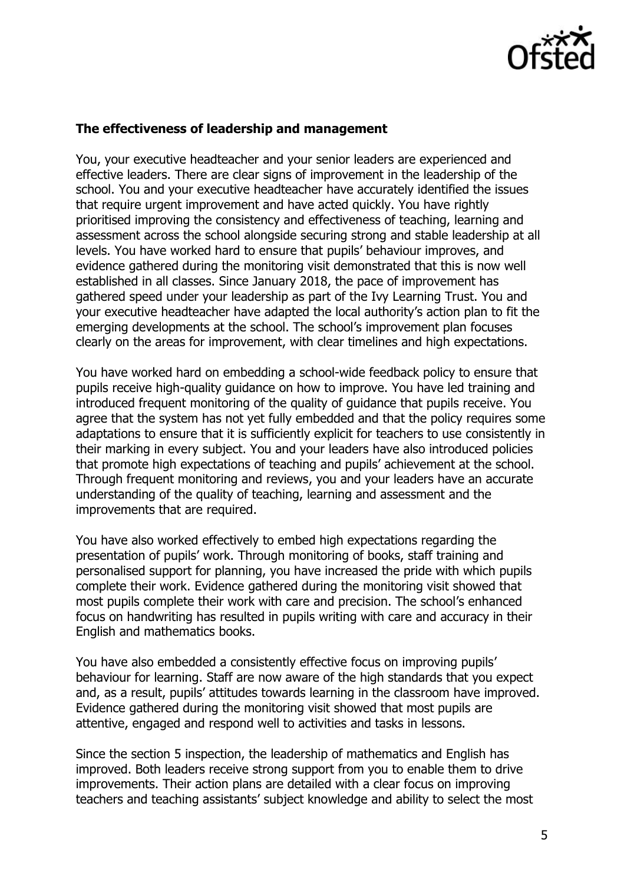

### **The effectiveness of leadership and management**

You, your executive headteacher and your senior leaders are experienced and effective leaders. There are clear signs of improvement in the leadership of the school. You and your executive headteacher have accurately identified the issues that require urgent improvement and have acted quickly. You have rightly prioritised improving the consistency and effectiveness of teaching, learning and assessment across the school alongside securing strong and stable leadership at all levels. You have worked hard to ensure that pupils' behaviour improves, and evidence gathered during the monitoring visit demonstrated that this is now well established in all classes. Since January 2018, the pace of improvement has gathered speed under your leadership as part of the Ivy Learning Trust. You and your executive headteacher have adapted the local authority's action plan to fit the emerging developments at the school. The school's improvement plan focuses clearly on the areas for improvement, with clear timelines and high expectations.

You have worked hard on embedding a school-wide feedback policy to ensure that pupils receive high-quality guidance on how to improve. You have led training and introduced frequent monitoring of the quality of guidance that pupils receive. You agree that the system has not yet fully embedded and that the policy requires some adaptations to ensure that it is sufficiently explicit for teachers to use consistently in their marking in every subject. You and your leaders have also introduced policies that promote high expectations of teaching and pupils' achievement at the school. Through frequent monitoring and reviews, you and your leaders have an accurate understanding of the quality of teaching, learning and assessment and the improvements that are required.

You have also worked effectively to embed high expectations regarding the presentation of pupils' work. Through monitoring of books, staff training and personalised support for planning, you have increased the pride with which pupils complete their work. Evidence gathered during the monitoring visit showed that most pupils complete their work with care and precision. The school's enhanced focus on handwriting has resulted in pupils writing with care and accuracy in their English and mathematics books.

You have also embedded a consistently effective focus on improving pupils' behaviour for learning. Staff are now aware of the high standards that you expect and, as a result, pupils' attitudes towards learning in the classroom have improved. Evidence gathered during the monitoring visit showed that most pupils are attentive, engaged and respond well to activities and tasks in lessons.

Since the section 5 inspection, the leadership of mathematics and English has improved. Both leaders receive strong support from you to enable them to drive improvements. Their action plans are detailed with a clear focus on improving teachers and teaching assistants' subject knowledge and ability to select the most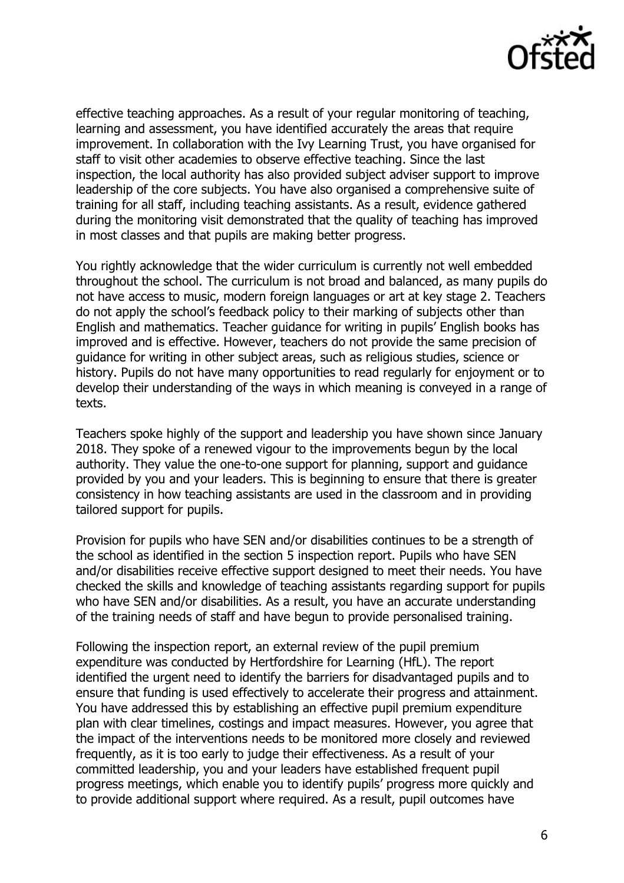

effective teaching approaches. As a result of your regular monitoring of teaching, learning and assessment, you have identified accurately the areas that require improvement. In collaboration with the Ivy Learning Trust, you have organised for staff to visit other academies to observe effective teaching. Since the last inspection, the local authority has also provided subject adviser support to improve leadership of the core subjects. You have also organised a comprehensive suite of training for all staff, including teaching assistants. As a result, evidence gathered during the monitoring visit demonstrated that the quality of teaching has improved in most classes and that pupils are making better progress.

You rightly acknowledge that the wider curriculum is currently not well embedded throughout the school. The curriculum is not broad and balanced, as many pupils do not have access to music, modern foreign languages or art at key stage 2. Teachers do not apply the school's feedback policy to their marking of subjects other than English and mathematics. Teacher guidance for writing in pupils' English books has improved and is effective. However, teachers do not provide the same precision of guidance for writing in other subject areas, such as religious studies, science or history. Pupils do not have many opportunities to read regularly for enjoyment or to develop their understanding of the ways in which meaning is conveyed in a range of texts.

Teachers spoke highly of the support and leadership you have shown since January 2018. They spoke of a renewed vigour to the improvements begun by the local authority. They value the one-to-one support for planning, support and guidance provided by you and your leaders. This is beginning to ensure that there is greater consistency in how teaching assistants are used in the classroom and in providing tailored support for pupils.

Provision for pupils who have SEN and/or disabilities continues to be a strength of the school as identified in the section 5 inspection report. Pupils who have SEN and/or disabilities receive effective support designed to meet their needs. You have checked the skills and knowledge of teaching assistants regarding support for pupils who have SEN and/or disabilities. As a result, you have an accurate understanding of the training needs of staff and have begun to provide personalised training.

Following the inspection report, an external review of the pupil premium expenditure was conducted by Hertfordshire for Learning (HfL). The report identified the urgent need to identify the barriers for disadvantaged pupils and to ensure that funding is used effectively to accelerate their progress and attainment. You have addressed this by establishing an effective pupil premium expenditure plan with clear timelines, costings and impact measures. However, you agree that the impact of the interventions needs to be monitored more closely and reviewed frequently, as it is too early to judge their effectiveness. As a result of your committed leadership, you and your leaders have established frequent pupil progress meetings, which enable you to identify pupils' progress more quickly and to provide additional support where required. As a result, pupil outcomes have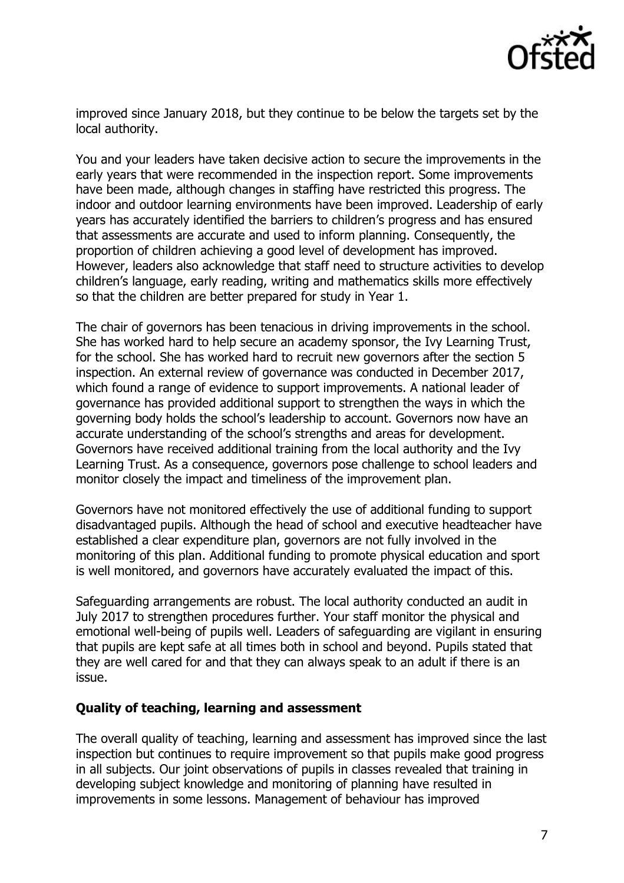

improved since January 2018, but they continue to be below the targets set by the local authority.

You and your leaders have taken decisive action to secure the improvements in the early years that were recommended in the inspection report. Some improvements have been made, although changes in staffing have restricted this progress. The indoor and outdoor learning environments have been improved. Leadership of early years has accurately identified the barriers to children's progress and has ensured that assessments are accurate and used to inform planning. Consequently, the proportion of children achieving a good level of development has improved. However, leaders also acknowledge that staff need to structure activities to develop children's language, early reading, writing and mathematics skills more effectively so that the children are better prepared for study in Year 1.

The chair of governors has been tenacious in driving improvements in the school. She has worked hard to help secure an academy sponsor, the Ivy Learning Trust, for the school. She has worked hard to recruit new governors after the section 5 inspection. An external review of governance was conducted in December 2017, which found a range of evidence to support improvements. A national leader of governance has provided additional support to strengthen the ways in which the governing body holds the school's leadership to account. Governors now have an accurate understanding of the school's strengths and areas for development. Governors have received additional training from the local authority and the Ivy Learning Trust. As a consequence, governors pose challenge to school leaders and monitor closely the impact and timeliness of the improvement plan.

Governors have not monitored effectively the use of additional funding to support disadvantaged pupils. Although the head of school and executive headteacher have established a clear expenditure plan, governors are not fully involved in the monitoring of this plan. Additional funding to promote physical education and sport is well monitored, and governors have accurately evaluated the impact of this.

Safeguarding arrangements are robust. The local authority conducted an audit in July 2017 to strengthen procedures further. Your staff monitor the physical and emotional well-being of pupils well. Leaders of safeguarding are vigilant in ensuring that pupils are kept safe at all times both in school and beyond. Pupils stated that they are well cared for and that they can always speak to an adult if there is an issue.

#### **Quality of teaching, learning and assessment**

The overall quality of teaching, learning and assessment has improved since the last inspection but continues to require improvement so that pupils make good progress in all subjects. Our joint observations of pupils in classes revealed that training in developing subject knowledge and monitoring of planning have resulted in improvements in some lessons. Management of behaviour has improved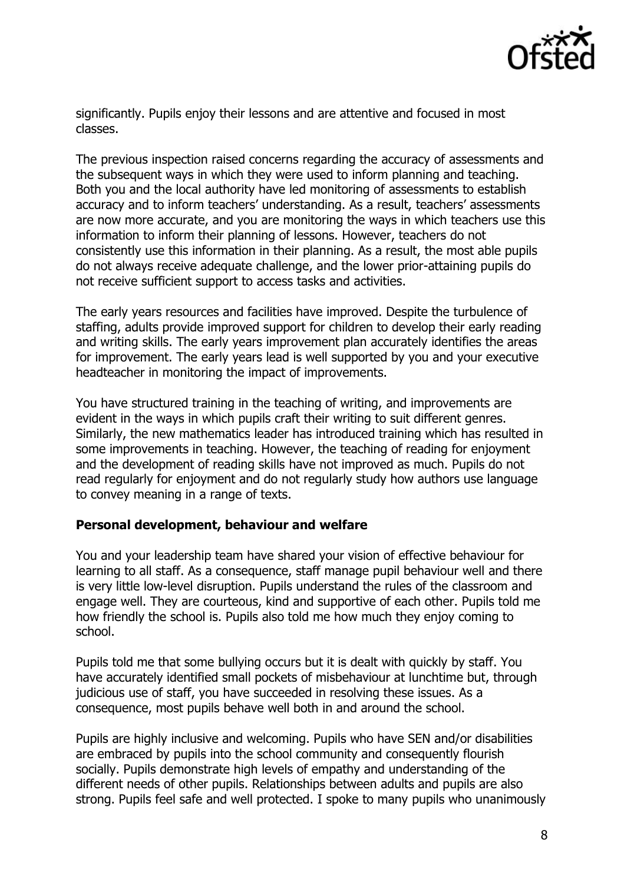

significantly. Pupils enjoy their lessons and are attentive and focused in most classes.

The previous inspection raised concerns regarding the accuracy of assessments and the subsequent ways in which they were used to inform planning and teaching. Both you and the local authority have led monitoring of assessments to establish accuracy and to inform teachers' understanding. As a result, teachers' assessments are now more accurate, and you are monitoring the ways in which teachers use this information to inform their planning of lessons. However, teachers do not consistently use this information in their planning. As a result, the most able pupils do not always receive adequate challenge, and the lower prior-attaining pupils do not receive sufficient support to access tasks and activities.

The early years resources and facilities have improved. Despite the turbulence of staffing, adults provide improved support for children to develop their early reading and writing skills. The early years improvement plan accurately identifies the areas for improvement. The early years lead is well supported by you and your executive headteacher in monitoring the impact of improvements.

You have structured training in the teaching of writing, and improvements are evident in the ways in which pupils craft their writing to suit different genres. Similarly, the new mathematics leader has introduced training which has resulted in some improvements in teaching. However, the teaching of reading for enjoyment and the development of reading skills have not improved as much. Pupils do not read regularly for enjoyment and do not regularly study how authors use language to convey meaning in a range of texts.

## **Personal development, behaviour and welfare**

You and your leadership team have shared your vision of effective behaviour for learning to all staff. As a consequence, staff manage pupil behaviour well and there is very little low-level disruption. Pupils understand the rules of the classroom and engage well. They are courteous, kind and supportive of each other. Pupils told me how friendly the school is. Pupils also told me how much they enjoy coming to school.

Pupils told me that some bullying occurs but it is dealt with quickly by staff. You have accurately identified small pockets of misbehaviour at lunchtime but, through judicious use of staff, you have succeeded in resolving these issues. As a consequence, most pupils behave well both in and around the school.

Pupils are highly inclusive and welcoming. Pupils who have SEN and/or disabilities are embraced by pupils into the school community and consequently flourish socially. Pupils demonstrate high levels of empathy and understanding of the different needs of other pupils. Relationships between adults and pupils are also strong. Pupils feel safe and well protected. I spoke to many pupils who unanimously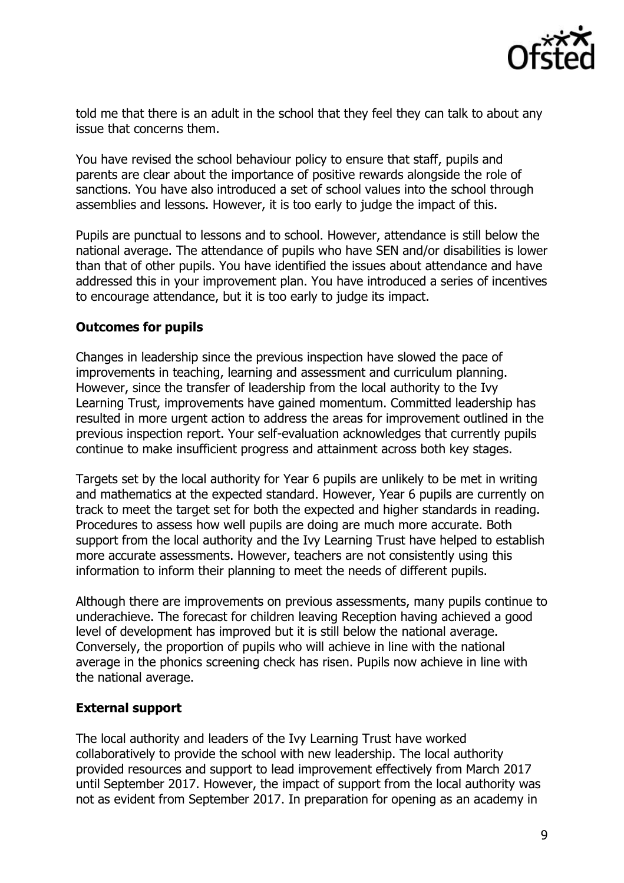

told me that there is an adult in the school that they feel they can talk to about any issue that concerns them.

You have revised the school behaviour policy to ensure that staff, pupils and parents are clear about the importance of positive rewards alongside the role of sanctions. You have also introduced a set of school values into the school through assemblies and lessons. However, it is too early to judge the impact of this.

Pupils are punctual to lessons and to school. However, attendance is still below the national average. The attendance of pupils who have SEN and/or disabilities is lower than that of other pupils. You have identified the issues about attendance and have addressed this in your improvement plan. You have introduced a series of incentives to encourage attendance, but it is too early to judge its impact.

## **Outcomes for pupils**

Changes in leadership since the previous inspection have slowed the pace of improvements in teaching, learning and assessment and curriculum planning. However, since the transfer of leadership from the local authority to the Ivy Learning Trust, improvements have gained momentum. Committed leadership has resulted in more urgent action to address the areas for improvement outlined in the previous inspection report. Your self-evaluation acknowledges that currently pupils continue to make insufficient progress and attainment across both key stages.

Targets set by the local authority for Year 6 pupils are unlikely to be met in writing and mathematics at the expected standard. However, Year 6 pupils are currently on track to meet the target set for both the expected and higher standards in reading. Procedures to assess how well pupils are doing are much more accurate. Both support from the local authority and the Ivy Learning Trust have helped to establish more accurate assessments. However, teachers are not consistently using this information to inform their planning to meet the needs of different pupils.

Although there are improvements on previous assessments, many pupils continue to underachieve. The forecast for children leaving Reception having achieved a good level of development has improved but it is still below the national average. Conversely, the proportion of pupils who will achieve in line with the national average in the phonics screening check has risen. Pupils now achieve in line with the national average.

## **External support**

The local authority and leaders of the Ivy Learning Trust have worked collaboratively to provide the school with new leadership. The local authority provided resources and support to lead improvement effectively from March 2017 until September 2017. However, the impact of support from the local authority was not as evident from September 2017. In preparation for opening as an academy in